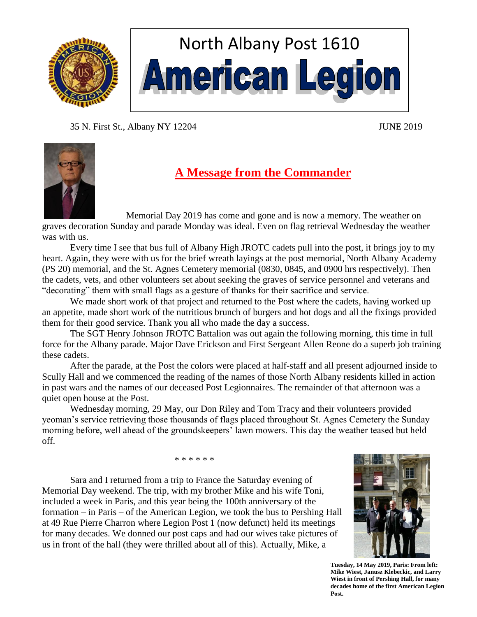

# North Albany Post 1610 **American Legion**

35 N. First St., Albany NY 12204 JUNE 2019



# **A Message from the Commander**

Memorial Day 2019 has come and gone and is now a memory. The weather on graves decoration Sunday and parade Monday was ideal. Even on flag retrieval Wednesday the weather was with us.

Every time I see that bus full of Albany High JROTC cadets pull into the post, it brings joy to my heart. Again, they were with us for the brief wreath layings at the post memorial, North Albany Academy (PS 20) memorial, and the St. Agnes Cemetery memorial (0830, 0845, and 0900 hrs respectively). Then the cadets, vets, and other volunteers set about seeking the graves of service personnel and veterans and "decorating" them with small flags as a gesture of thanks for their sacrifice and service.

We made short work of that project and returned to the Post where the cadets, having worked up an appetite, made short work of the nutritious brunch of burgers and hot dogs and all the fixings provided them for their good service. Thank you all who made the day a success.

The SGT Henry Johnson JROTC Battalion was out again the following morning, this time in full force for the Albany parade. Major Dave Erickson and First Sergeant Allen Reone do a superb job training these cadets.

After the parade, at the Post the colors were placed at half-staff and all present adjourned inside to Scully Hall and we commenced the reading of the names of those North Albany residents killed in action in past wars and the names of our deceased Post Legionnaires. The remainder of that afternoon was a quiet open house at the Post.

Wednesday morning, 29 May, our Don Riley and Tom Tracy and their volunteers provided yeoman's service retrieving those thousands of flags placed throughout St. Agnes Cemetery the Sunday morning before, well ahead of the groundskeepers' lawn mowers. This day the weather teased but held off.

\* \* \* \* \* \*

Sara and I returned from a trip to France the Saturday evening of Memorial Day weekend. The trip, with my brother Mike and his wife Toni, included a week in Paris, and this year being the 100th anniversary of the formation – in Paris – of the American Legion, we took the bus to Pershing Hall at 49 Rue Pierre Charron where Legion Post 1 (now defunct) held its meetings for many decades. We donned our post caps and had our wives take pictures of us in front of the hall (they were thrilled about all of this). Actually, Mike, a



1 **Mike Wiest, Janusz Klebeckic, and Larry Tuesday, 14 May 2019, Paris: From left: Wiest in front of Pershing Hall, for many decades home of the first American Legion Post.**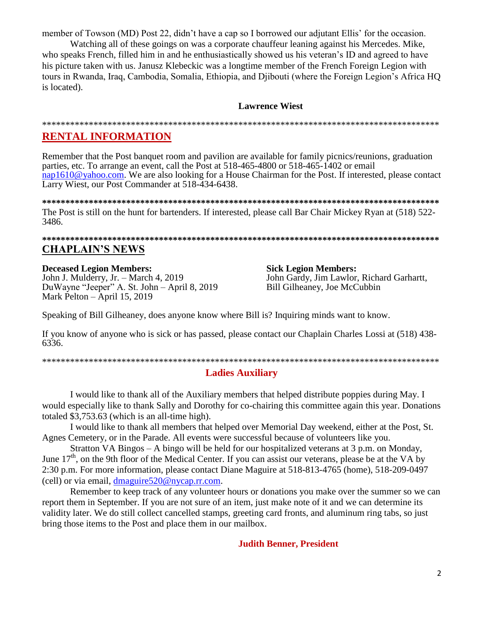member of Towson (MD) Post 22, didn't have a cap so I borrowed our adjutant Ellis' for the occasion.

Watching all of these goings on was a corporate chauffeur leaning against his Mercedes. Mike, who speaks French, filled him in and he enthusiastically showed us his veteran's ID and agreed to have his picture taken with us. Janusz Klebeckic was a longtime member of the French Foreign Legion with tours in Rwanda, Iraq, Cambodia, Somalia, Ethiopia, and Djibouti (where the Foreign Legion's Africa HQ is located).

# **Lawrence Wiest**

#### 

# **RENTAL INFORMATION**

Remember that the Post banquet room and pavilion are available for family picnics/reunions, graduation parties, etc. To arrange an event, call the Post at 518-465-4800 or 518-465-1402 or email nap1610@yahoo.com. We are also looking for a House Chairman for the Post. If interested, please contact Larry Wiest, our Post Commander at 518-434-6438.

The Post is still on the hunt for bartenders. If interested, please call Bar Chair Mickey Ryan at (518) 522-3486.

# **CHAPLAIN'S NEWS**

**Deceased Legion Members:** 

John J. Mulderry, Jr. - March 4, 2019 DuWayne "Jeeper" A. St. John - April 8, 2019 Mark Pelton - April 15, 2019

**Sick Legion Members:** John Gardy, Jim Lawlor, Richard Garhartt, Bill Gilheaney, Joe McCubbin

Speaking of Bill Gilheaney, does anyone know where Bill is? Inquiring minds want to know.

If you know of anyone who is sick or has passed, please contact our Chaplain Charles Lossi at (518) 438-6336.

# **Ladies Auxiliary**

I would like to thank all of the Auxiliary members that helped distribute poppies during May. I would especially like to thank Sally and Dorothy for co-chairing this committee again this year. Donations totaled \$3,753.63 (which is an all-time high).

I would like to thank all members that helped over Memorial Day weekend, either at the Post, St. Agnes Cemetery, or in the Parade. All events were successful because of volunteers like you.

Stratton VA Bingos – A bingo will be held for our hospitalized veterans at 3 p.m. on Monday, June  $17<sup>th</sup>$ , on the 9th floor of the Medical Center. If you can assist our veterans, please be at the VA by 2:30 p.m. For more information, please contact Diane Maguire at 518-813-4765 (home), 518-209-0497 (cell) or via email, dmaguire520@nycap.rr.com.

Remember to keep track of any volunteer hours or donations you make over the summer so we can report them in September. If you are not sure of an item, just make note of it and we can determine its validity later. We do still collect cancelled stamps, greeting card fronts, and aluminum ring tabs, so just bring those items to the Post and place them in our mailbox.

**Judith Benner, President**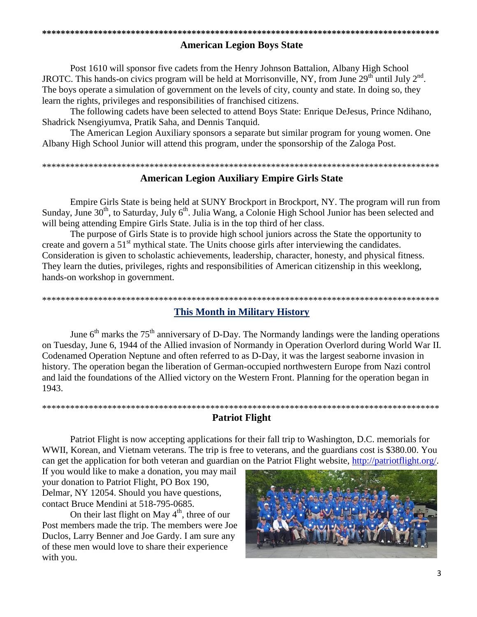#### 

# **American Legion Boys State**

Post 1610 will sponsor five cadets from the Henry Johnson Battalion, Albany High School JROTC. This hands-on civics program will be held at Morrisonville, NY, from June 29<sup>th</sup> until July 2<sup>nd</sup>. The boys operate a simulation of government on the levels of city, county and state. In doing so, they learn the rights, privileges and responsibilities of franchised citizens.

The following cadets have been selected to attend Boys State: Enrique DeJesus, Prince Ndihano, Shadrick Nsengiyumva, Pratik Saha, and Dennis Tanquid.

The American Legion Auxiliary sponsors a separate but similar program for young women. One Albany High School Junior will attend this program, under the sponsorship of the Zaloga Post.

# **American Legion Auxiliary Empire Girls State**

Empire Girls State is being held at SUNY Brockport in Brockport, NY. The program will run from Sunday, June 30<sup>th</sup>, to Saturday, July 6<sup>th</sup>. Julia Wang, a Colonie High School Junior has been selected and will being attending Empire Girls State. Julia is in the top third of her class.

The purpose of Girls State is to provide high school juniors across the State the opportunity to create and govern a 51<sup>st</sup> mythical state. The Units choose girls after interviewing the candidates. Consideration is given to scholastic achievements, leadership, character, honesty, and physical fitness. They learn the duties, privileges, rights and responsibilities of American citizenship in this weeklong, hands-on workshop in government.

# **This Month in Military History**

June  $6<sup>th</sup>$  marks the 75<sup>th</sup> anniversary of D-Day. The Normandy landings were the landing operations on Tuesday, June 6, 1944 of the Allied invasion of Normandy in Operation Overlord during World War II. Codenamed Operation Neptune and often referred to as D-Day, it was the largest seaborne invasion in history. The operation began the liberation of German-occupied northwestern Europe from Nazi control and laid the foundations of the Allied victory on the Western Front. Planning for the operation began in 1943.

### **Patriot Flight**

Patriot Flight is now accepting applications for their fall trip to Washington, D.C. memorials for WWII, Korean, and Vietnam veterans. The trip is free to veterans, and the guardians cost is \$380.00. You can get the application for both veteran and guardian on the Patriot Flight website, http://patriotflight.org/.

If you would like to make a donation, you may mail your donation to Patriot Flight, PO Box 190, Delmar, NY 12054. Should you have questions, contact Bruce Mendini at 518-795-0685.

On their last flight on May  $4<sup>th</sup>$ , three of our Post members made the trip. The members were Joe Duclos, Larry Benner and Joe Gardy. I am sure any of these men would love to share their experience with you.